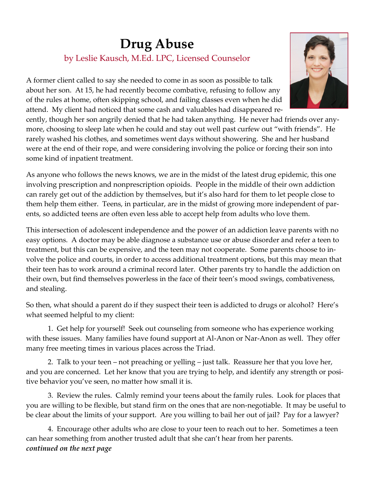## **Drug Abuse** by Leslie Kausch, M.Ed. LPC, Licensed Counselor

A former client called to say she needed to come in as soon as possible to talk about her son. At 15, he had recently become combative, refusing to follow any of the rules at home, often skipping school, and failing classes even when he did attend. My client had noticed that some cash and valuables had disappeared re-

cently, though her son angrily denied that he had taken anything. He never had friends over anymore, choosing to sleep late when he could and stay out well past curfew out "with friends". He rarely washed his clothes, and sometimes went days without showering. She and her husband were at the end of their rope, and were considering involving the police or forcing their son into some kind of inpatient treatment.

As anyone who follows the news knows, we are in the midst of the latest drug epidemic, this one involving prescription and nonprescription opioids. People in the middle of their own addiction can rarely get out of the addiction by themselves, but it's also hard for them to let people close to them help them either. Teens, in particular, are in the midst of growing more independent of parents, so addicted teens are often even less able to accept help from adults who love them.

This intersection of adolescent independence and the power of an addiction leave parents with no easy options. A doctor may be able diagnose a substance use or abuse disorder and refer a teen to treatment, but this can be expensive, and the teen may not cooperate. Some parents choose to involve the police and courts, in order to access additional treatment options, but this may mean that their teen has to work around a criminal record later. Other parents try to handle the addiction on their own, but find themselves powerless in the face of their teen's mood swings, combativeness, and stealing.

So then, what should a parent do if they suspect their teen is addicted to drugs or alcohol? Here's what seemed helpful to my client:

1. Get help for yourself! Seek out counseling from someone who has experience working with these issues. Many families have found support at Al-Anon or Nar-Anon as well. They offer many free meeting times in various places across the Triad.

2. Talk to your teen – not preaching or yelling – just talk. Reassure her that you love her, and you are concerned. Let her know that you are trying to help, and identify any strength or positive behavior you've seen, no matter how small it is.

3. Review the rules. Calmly remind your teens about the family rules. Look for places that you are willing to be flexible, but stand firm on the ones that are non-negotiable. It may be useful to be clear about the limits of your support. Are you willing to bail her out of jail? Pay for a lawyer?

4. Encourage other adults who are close to your teen to reach out to her. Sometimes a teen can hear something from another trusted adult that she can't hear from her parents. *continued on the next page*